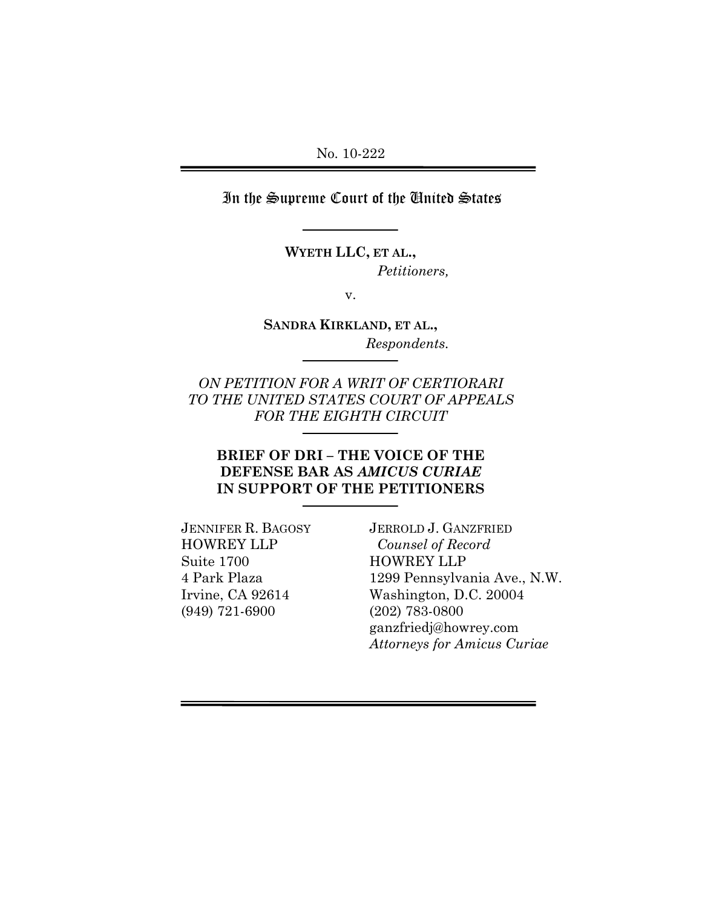In the Supreme Court of the United States

**WYETH LLC, ET AL.,**   *Petitioners,* 

v.

**SANDRA KIRKLAND, ET AL.,**  *Respondents.*

*ON PETITION FOR A WRIT OF CERTIORARI TO THE UNITED STATES COURT OF APPEALS FOR THE EIGHTH CIRCUIT* 

### **BRIEF OF DRI – THE VOICE OF THE DEFENSE BAR AS** *AMICUS CURIAE* **IN SUPPORT OF THE PETITIONERS**

JENNIFER R. BAGOSY HOWREY LLP Suite 1700 4 Park Plaza Irvine, CA 92614 (949) 721-6900

JERROLD J. GANZFRIED *Counsel of Record* HOWREY LLP 1299 Pennsylvania Ave., N.W. Washington, D.C. 20004 (202) 783-0800 ganzfriedj@howrey.com *Attorneys for Amicus Curiae*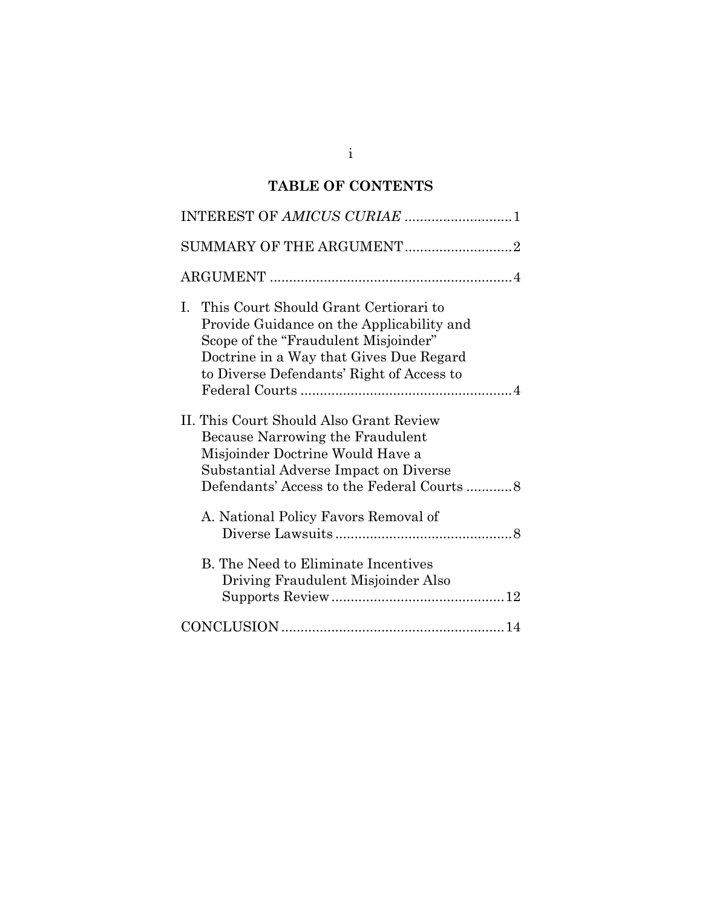## **TABLE OF CONTENTS**

| INTEREST OF AMICUS CURIAE 1                                                                                                                                                                                              |
|--------------------------------------------------------------------------------------------------------------------------------------------------------------------------------------------------------------------------|
| SUMMARY OF THE ARGUMENT2                                                                                                                                                                                                 |
|                                                                                                                                                                                                                          |
| This Court Should Grant Certiorari to<br>I.<br>Provide Guidance on the Applicability and<br>Scope of the "Fraudulent Misjoinder"<br>Doctrine in a Way that Gives Due Regard<br>to Diverse Defendants' Right of Access to |
| II. This Court Should Also Grant Review<br>Because Narrowing the Fraudulent<br>Misjoinder Doctrine Would Have a<br>Substantial Adverse Impact on Diverse<br>Defendants' Access to the Federal Courts 8                   |
| A. National Policy Favors Removal of                                                                                                                                                                                     |
| <b>B.</b> The Need to Eliminate Incentives<br>Driving Fraudulent Misjoinder Also                                                                                                                                         |
|                                                                                                                                                                                                                          |

i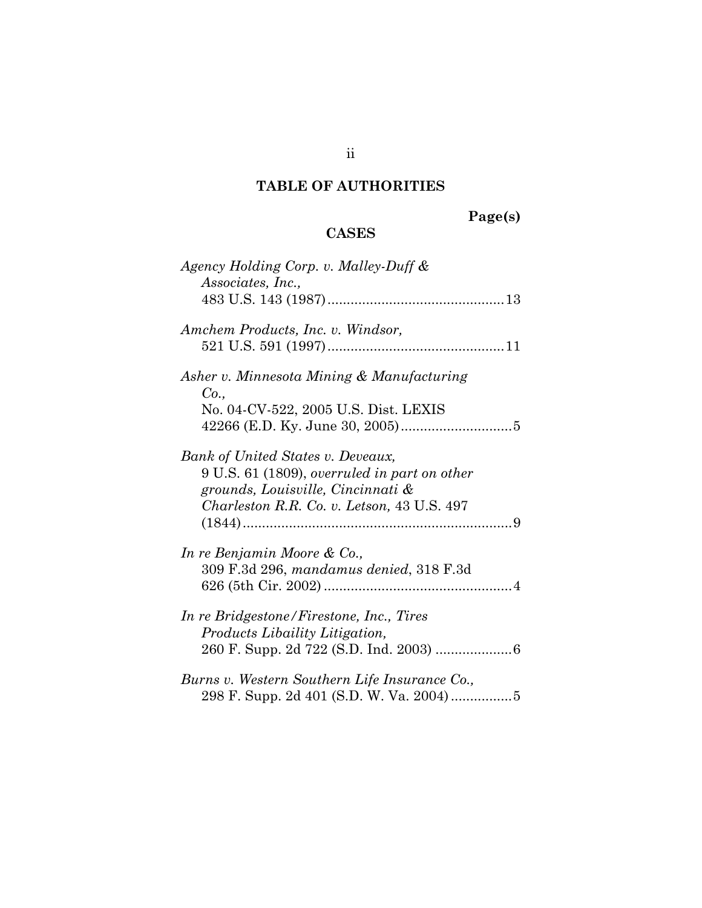## **TABLE OF AUTHORITIES**

# **Page(s)**

## **CASES**

| Agency Holding Corp. v. Malley-Duff &<br>Associates, Inc.,                                                                                                           |
|----------------------------------------------------------------------------------------------------------------------------------------------------------------------|
| Amchem Products, Inc. v. Windsor,                                                                                                                                    |
| Asher v. Minnesota Mining & Manufacturing<br>Co.,<br>No. 04-CV-522, 2005 U.S. Dist. LEXIS                                                                            |
| Bank of United States v. Deveaux,<br>9 U.S. 61 (1809), overruled in part on other<br>grounds, Louisville, Cincinnati &<br>Charleston R.R. Co. v. Letson, 43 U.S. 497 |
| In re Benjamin Moore & Co.,<br>309 F.3d 296, mandamus denied, 318 F.3d                                                                                               |
| In re Bridgestone/Firestone, Inc., Tires<br>Products Libaility Litigation,                                                                                           |
| Burns v. Western Southern Life Insurance Co.,                                                                                                                        |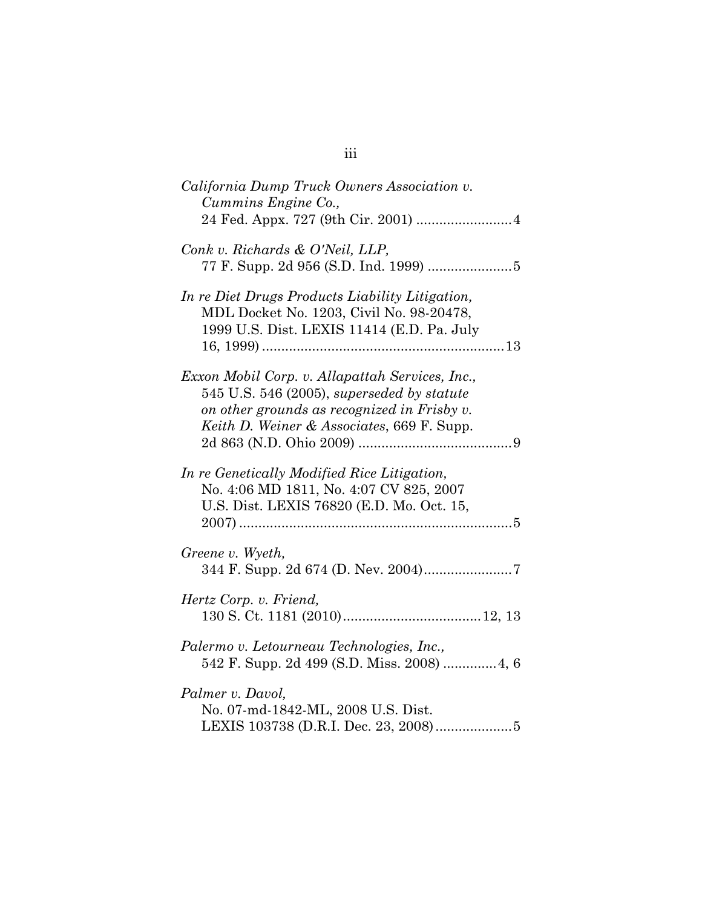| California Dump Truck Owners Association v.<br>Cummins Engine Co.,                                                                                                                         |
|--------------------------------------------------------------------------------------------------------------------------------------------------------------------------------------------|
| Conk v. Richards & O'Neil, LLP,                                                                                                                                                            |
| In re Diet Drugs Products Liability Litigation,<br>MDL Docket No. 1203, Civil No. 98-20478,<br>1999 U.S. Dist. LEXIS 11414 (E.D. Pa. July                                                  |
| Exxon Mobil Corp. v. Allapattah Services, Inc.,<br>545 U.S. 546 (2005), superseded by statute<br>on other grounds as recognized in Frisby v.<br>Keith D. Weiner & Associates, 669 F. Supp. |
| In re Genetically Modified Rice Litigation,<br>No. 4:06 MD 1811, No. 4:07 CV 825, 2007<br>U.S. Dist. LEXIS 76820 (E.D. Mo. Oct. 15,                                                        |
| Greene v. Wyeth,                                                                                                                                                                           |
| Hertz Corp. v. Friend,                                                                                                                                                                     |
| Palermo v. Letourneau Technologies, Inc.,                                                                                                                                                  |
| Palmer v. Davol,<br>No. 07-md-1842-ML, 2008 U.S. Dist.<br>LEXIS 103738 (D.R.I. Dec. 23, 2008) 5                                                                                            |

iii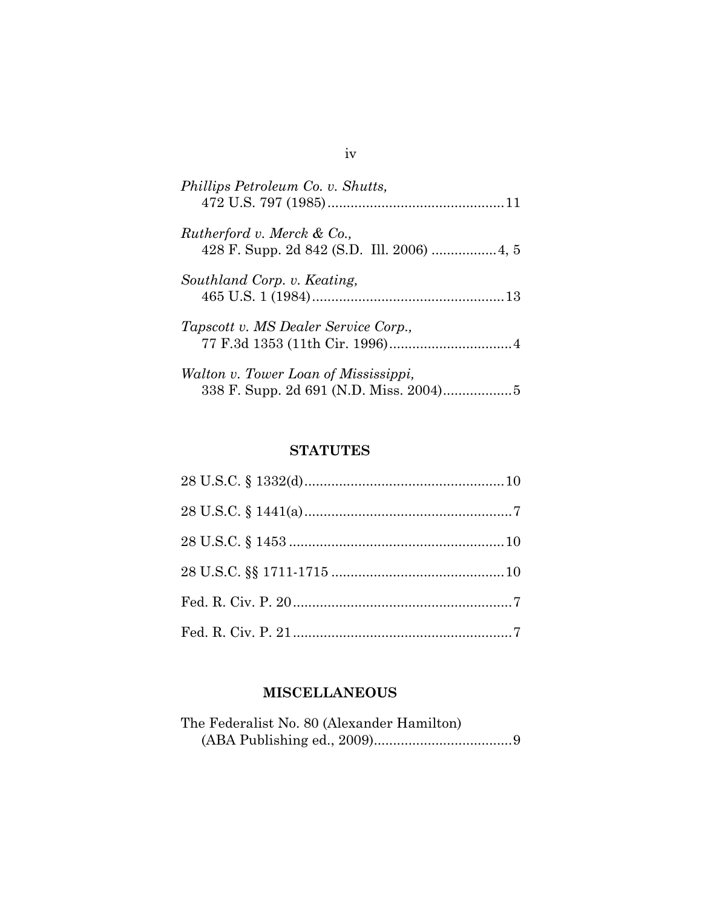| Phillips Petroleum Co. v. Shutts,    |
|--------------------------------------|
| Rutherford v. Merck & Co.,           |
| Southland Corp. v. Keating,          |
| Tapscott v. MS Dealer Service Corp., |
| Walton v. Tower Loan of Mississippi, |

## **STATUTES**

## **MISCELLANEOUS**

| The Federalist No. 80 (Alexander Hamilton) |  |
|--------------------------------------------|--|
|                                            |  |

iv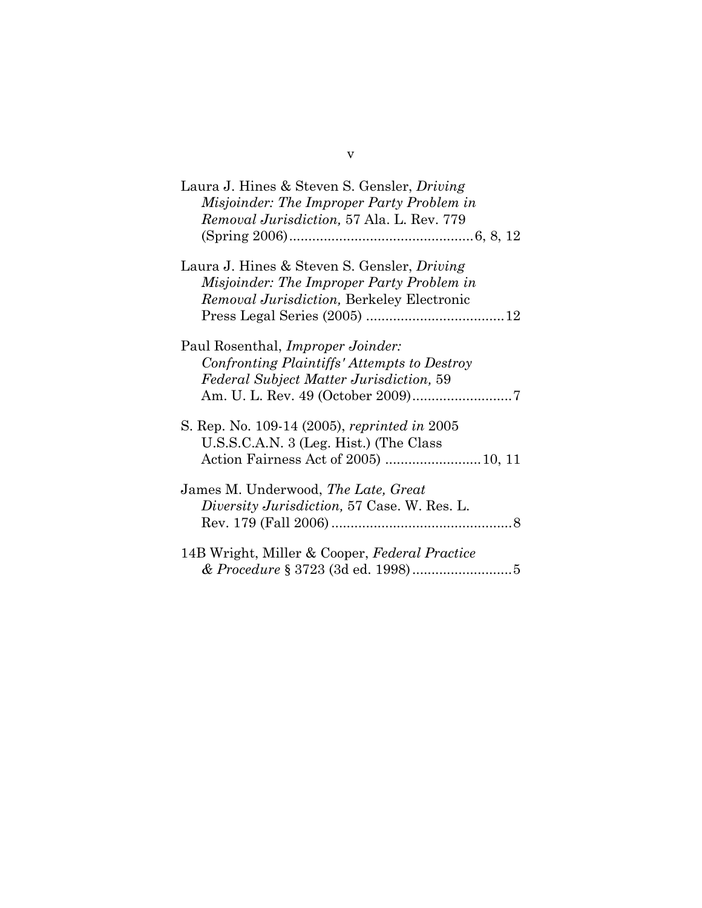| Laura J. Hines & Steven S. Gensler, <i>Driving</i> |
|----------------------------------------------------|
| Misjoinder: The Improper Party Problem in          |
| <i>Removal Jurisdiction, 57 Ala. L. Rev. 779</i>   |
|                                                    |
| Laura J. Hines & Steven S. Gensler, <i>Driving</i> |
| Misjoinder: The Improper Party Problem in          |
| <i>Removal Jurisdiction</i> , Berkeley Electronic  |
|                                                    |
| Paul Rosenthal, <i>Improper Joinder</i> :          |
| Confronting Plaintiffs' Attempts to Destroy        |
| <b>Federal Subject Matter Jurisdiction, 59</b>     |
|                                                    |
| S. Rep. No. 109-14 (2005), reprinted in 2005       |
| U.S.S.C.A.N. 3 (Leg. Hist.) (The Class             |
|                                                    |
| James M. Underwood, The Late, Great                |
| Diversity Jurisdiction, 57 Case. W. Res. L.        |
|                                                    |
| 14B Wright, Miller & Cooper, Federal Practice      |
|                                                    |
|                                                    |

v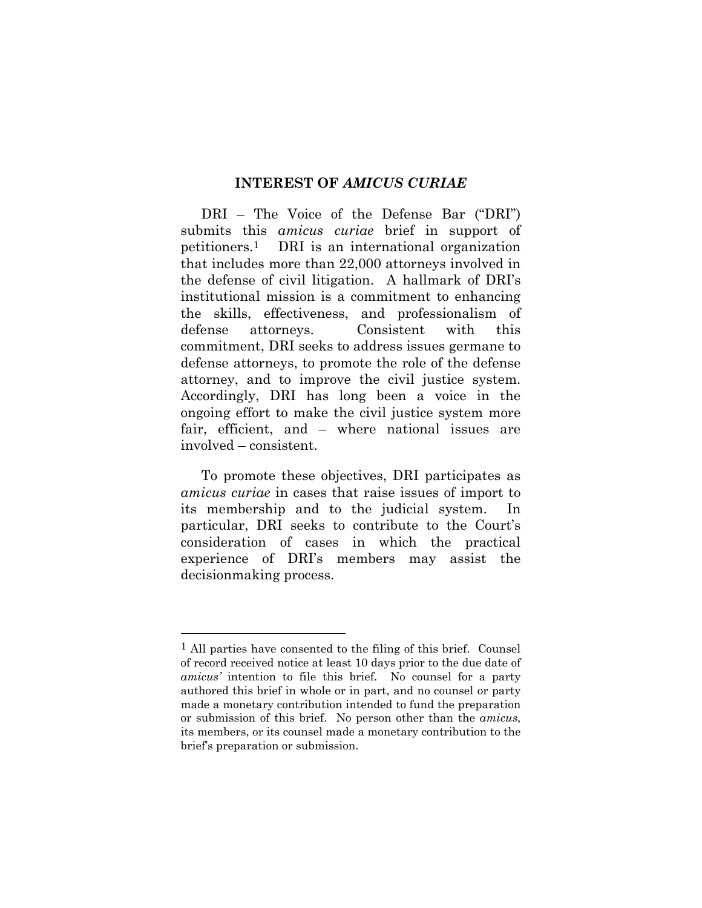#### **INTEREST OF** *AMICUS CURIAE*

DRI – The Voice of the Defense Bar ("DRI") submits this *amicus curiae* brief in support of petitioners.1 DRI is an international organization that includes more than 22,000 attorneys involved in the defense of civil litigation. A hallmark of DRI's institutional mission is a commitment to enhancing the skills, effectiveness, and professionalism of defense attorneys. Consistent with this commitment, DRI seeks to address issues germane to defense attorneys, to promote the role of the defense attorney, and to improve the civil justice system. Accordingly, DRI has long been a voice in the ongoing effort to make the civil justice system more fair, efficient, and – where national issues are involved – consistent.

To promote these objectives, DRI participates as *amicus curiae* in cases that raise issues of import to its membership and to the judicial system. In particular, DRI seeks to contribute to the Court's consideration of cases in which the practical experience of DRI's members may assist the decisionmaking process.

l

<sup>1</sup> All parties have consented to the filing of this brief. Counsel of record received notice at least 10 days prior to the due date of *amicus'* intention to file this brief. No counsel for a party authored this brief in whole or in part, and no counsel or party made a monetary contribution intended to fund the preparation or submission of this brief. No person other than the *amicus*, its members, or its counsel made a monetary contribution to the brief's preparation or submission.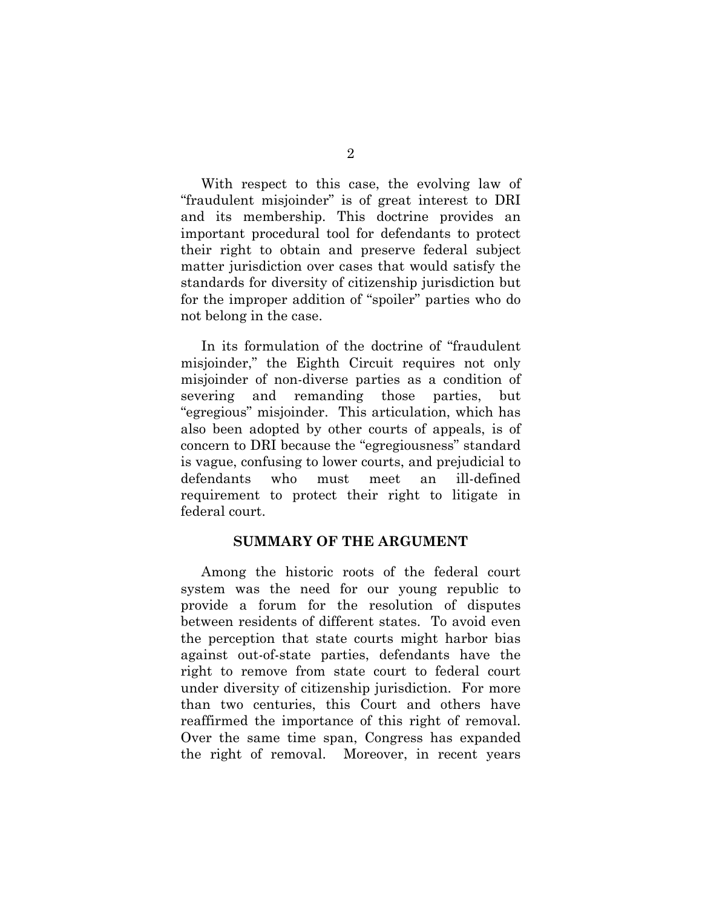With respect to this case, the evolving law of "fraudulent misjoinder" is of great interest to DRI and its membership. This doctrine provides an important procedural tool for defendants to protect their right to obtain and preserve federal subject matter jurisdiction over cases that would satisfy the standards for diversity of citizenship jurisdiction but for the improper addition of "spoiler" parties who do not belong in the case.

In its formulation of the doctrine of "fraudulent misjoinder," the Eighth Circuit requires not only misjoinder of non-diverse parties as a condition of severing and remanding those parties, but "egregious" misjoinder. This articulation, which has also been adopted by other courts of appeals, is of concern to DRI because the "egregiousness" standard is vague, confusing to lower courts, and prejudicial to defendants who must meet an ill-defined requirement to protect their right to litigate in federal court.

#### **SUMMARY OF THE ARGUMENT**

Among the historic roots of the federal court system was the need for our young republic to provide a forum for the resolution of disputes between residents of different states. To avoid even the perception that state courts might harbor bias against out-of-state parties, defendants have the right to remove from state court to federal court under diversity of citizenship jurisdiction. For more than two centuries, this Court and others have reaffirmed the importance of this right of removal. Over the same time span, Congress has expanded the right of removal. Moreover, in recent years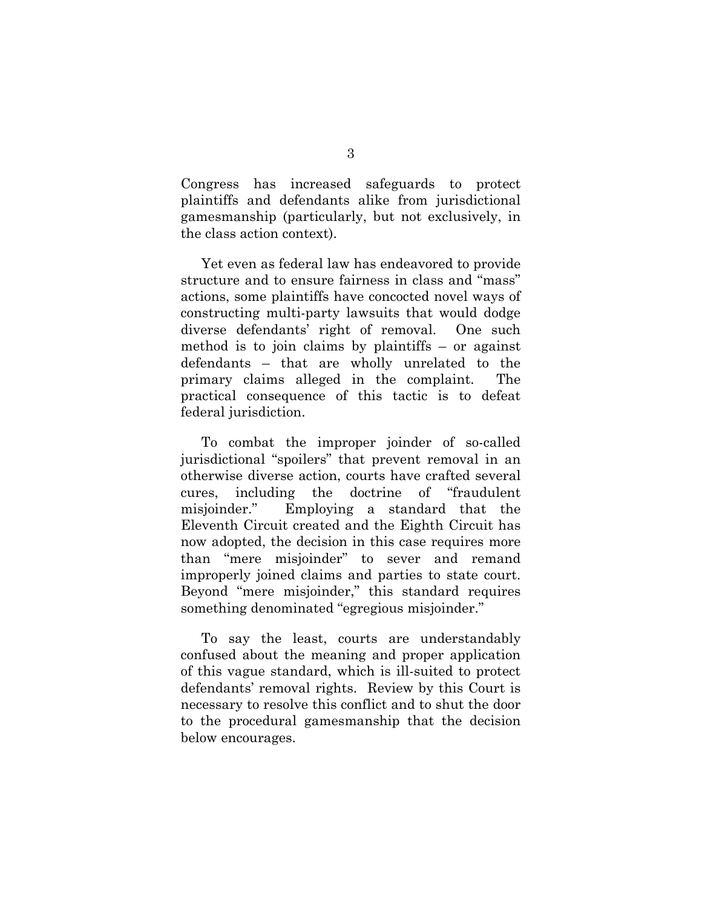Congress has increased safeguards to protect plaintiffs and defendants alike from jurisdictional gamesmanship (particularly, but not exclusively, in the class action context).

Yet even as federal law has endeavored to provide structure and to ensure fairness in class and "mass" actions, some plaintiffs have concocted novel ways of constructing multi-party lawsuits that would dodge diverse defendants' right of removal. One such method is to join claims by plaintiffs – or against defendants – that are wholly unrelated to the primary claims alleged in the complaint. The practical consequence of this tactic is to defeat federal jurisdiction.

To combat the improper joinder of so-called jurisdictional "spoilers" that prevent removal in an otherwise diverse action, courts have crafted several cures, including the doctrine of "fraudulent misjoinder." Employing a standard that the Eleventh Circuit created and the Eighth Circuit has now adopted, the decision in this case requires more than "mere misjoinder" to sever and remand improperly joined claims and parties to state court. Beyond "mere misjoinder," this standard requires something denominated "egregious misjoinder."

To say the least, courts are understandably confused about the meaning and proper application of this vague standard, which is ill-suited to protect defendants' removal rights. Review by this Court is necessary to resolve this conflict and to shut the door to the procedural gamesmanship that the decision below encourages.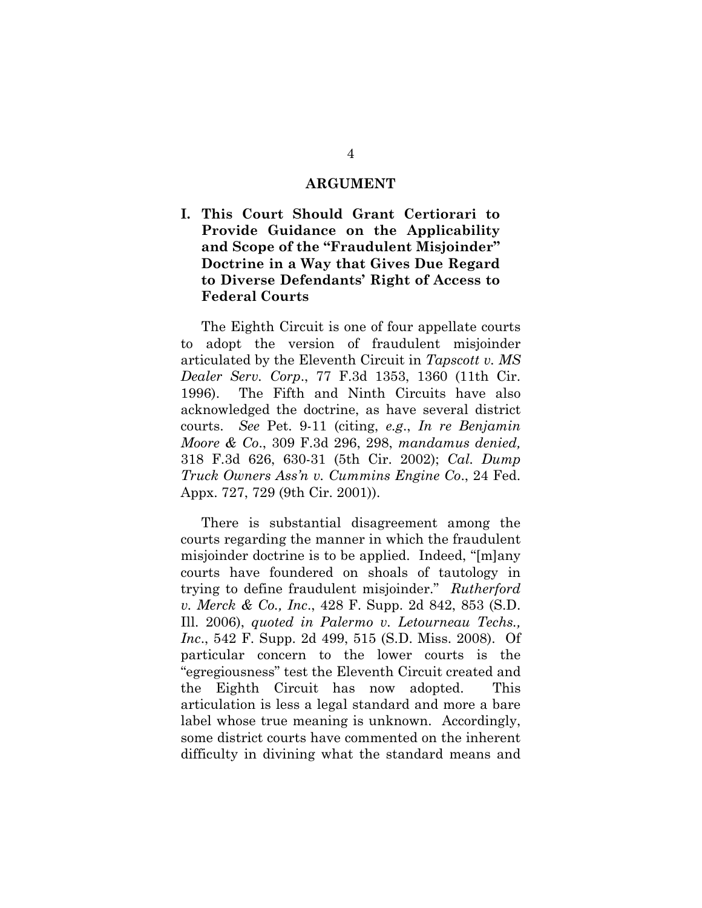#### **ARGUMENT**

### **I. This Court Should Grant Certiorari to Provide Guidance on the Applicability and Scope of the "Fraudulent Misjoinder" Doctrine in a Way that Gives Due Regard to Diverse Defendants' Right of Access to Federal Courts**

The Eighth Circuit is one of four appellate courts to adopt the version of fraudulent misjoinder articulated by the Eleventh Circuit in *Tapscott v. MS Dealer Serv. Corp*., 77 F.3d 1353, 1360 (11th Cir. 1996). The Fifth and Ninth Circuits have also acknowledged the doctrine, as have several district courts. *See* Pet. 9-11 (citing, *e.g*., *In re Benjamin Moore & Co*., 309 F.3d 296, 298, *mandamus denied,* 318 F.3d 626, 630-31 (5th Cir. 2002); *Cal. Dump Truck Owners Ass'n v. Cummins Engine Co*., 24 Fed. Appx. 727, 729 (9th Cir. 2001)).

There is substantial disagreement among the courts regarding the manner in which the fraudulent misjoinder doctrine is to be applied. Indeed, "[m]any courts have foundered on shoals of tautology in trying to define fraudulent misjoinder." *Rutherford v. Merck & Co., Inc*., 428 F. Supp. 2d 842, 853 (S.D. Ill. 2006), *quoted in Palermo v. Letourneau Techs., Inc*., 542 F. Supp. 2d 499, 515 (S.D. Miss. 2008). Of particular concern to the lower courts is the "egregiousness" test the Eleventh Circuit created and the Eighth Circuit has now adopted. This articulation is less a legal standard and more a bare label whose true meaning is unknown. Accordingly, some district courts have commented on the inherent difficulty in divining what the standard means and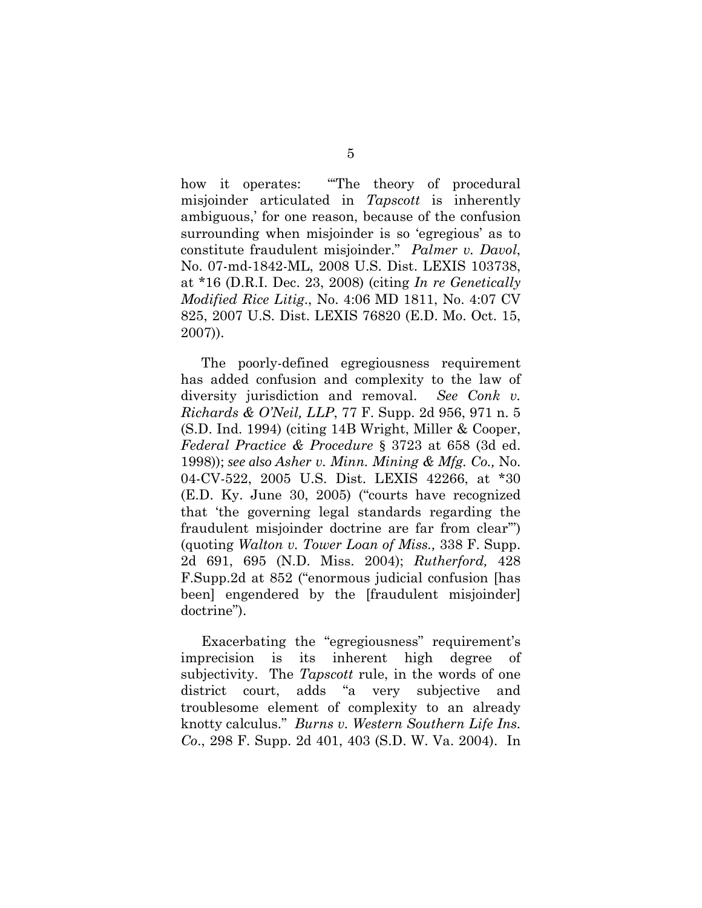how it operates: "The theory of procedural misjoinder articulated in *Tapscott* is inherently ambiguous,' for one reason, because of the confusion surrounding when misjoinder is so 'egregious' as to constitute fraudulent misjoinder." *Palmer v. Davol*, No. 07-md-1842-ML, 2008 U.S. Dist. LEXIS 103738, at \*16 (D.R.I. Dec. 23, 2008) (citing *In re Genetically Modified Rice Litig*., No. 4:06 MD 1811, No. 4:07 CV 825, 2007 U.S. Dist. LEXIS 76820 (E.D. Mo. Oct. 15, 2007)).

The poorly-defined egregiousness requirement has added confusion and complexity to the law of diversity jurisdiction and removal. *See Conk v. Richards & O'Neil, LLP*, 77 F. Supp. 2d 956, 971 n. 5 (S.D. Ind. 1994) (citing 14B Wright, Miller & Cooper, *Federal Practice & Procedure* § 3723 at 658 (3d ed. 1998)); *see also Asher v. Minn. Mining & Mfg. Co.,* No. 04-CV-522, 2005 U.S. Dist. LEXIS 42266, at \*30 (E.D. Ky. June 30, 2005) ("courts have recognized that 'the governing legal standards regarding the fraudulent misjoinder doctrine are far from clear'") (quoting *Walton v. Tower Loan of Miss.,* 338 F. Supp. 2d 691, 695 (N.D. Miss. 2004); *Rutherford,* 428 F.Supp.2d at 852 ("enormous judicial confusion [has been] engendered by the [fraudulent misjoinder] doctrine").

Exacerbating the "egregiousness" requirement's imprecision is its inherent high degree of subjectivity. The *Tapscott* rule, in the words of one district court, adds "a very subjective and troublesome element of complexity to an already knotty calculus." *Burns v. Western Southern Life Ins. Co*., 298 F. Supp. 2d 401, 403 (S.D. W. Va. 2004). In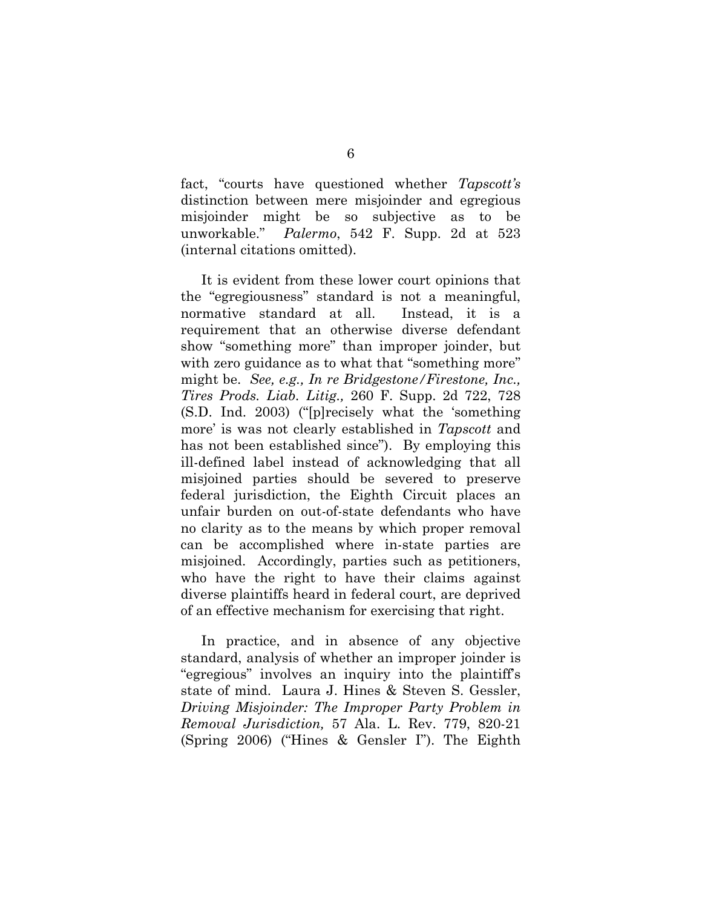fact, "courts have questioned whether *Tapscott's* distinction between mere misjoinder and egregious misjoinder might be so subjective as to be unworkable." *Palermo*, 542 F. Supp. 2d at 523 (internal citations omitted).

It is evident from these lower court opinions that the "egregiousness" standard is not a meaningful, normative standard at all. Instead, it is a requirement that an otherwise diverse defendant show "something more" than improper joinder, but with zero guidance as to what that "something more" might be. *See, e.g., In re Bridgestone/Firestone, Inc., Tires Prods. Liab. Litig.,* 260 F. Supp. 2d 722, 728 (S.D. Ind. 2003) ("[p]recisely what the 'something more' is was not clearly established in *Tapscott* and has not been established since"). By employing this ill-defined label instead of acknowledging that all misjoined parties should be severed to preserve federal jurisdiction, the Eighth Circuit places an unfair burden on out-of-state defendants who have no clarity as to the means by which proper removal can be accomplished where in-state parties are misjoined. Accordingly, parties such as petitioners, who have the right to have their claims against diverse plaintiffs heard in federal court, are deprived of an effective mechanism for exercising that right.

In practice, and in absence of any objective standard, analysis of whether an improper joinder is "egregious" involves an inquiry into the plaintiff's state of mind. Laura J. Hines & Steven S. Gessler, *Driving Misjoinder: The Improper Party Problem in Removal Jurisdiction,* 57 Ala. L. Rev. 779, 820-21 (Spring 2006) ("Hines & Gensler I"). The Eighth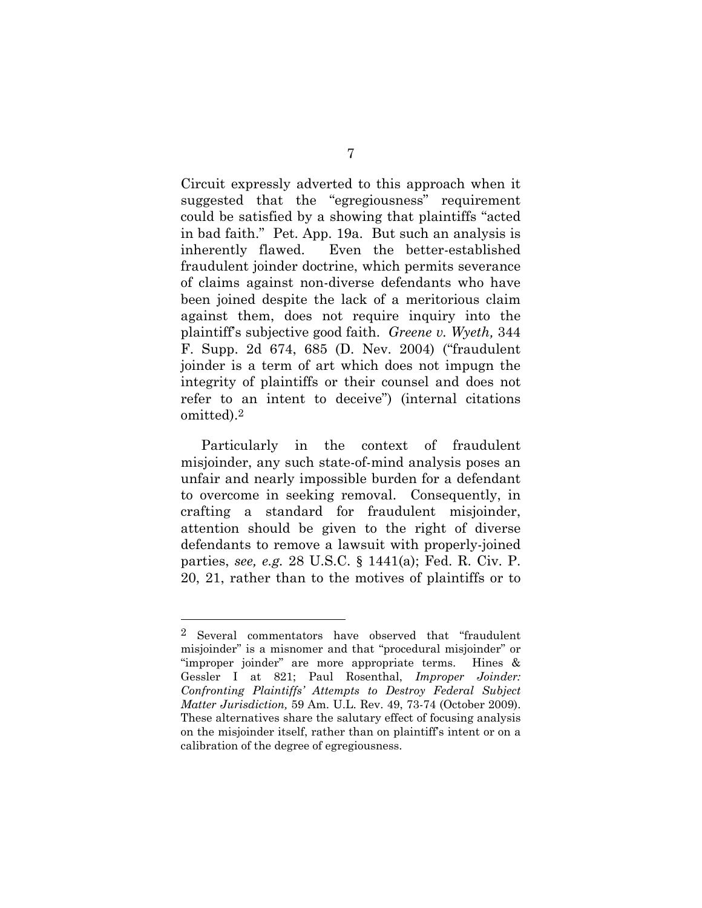Circuit expressly adverted to this approach when it suggested that the "egregiousness" requirement could be satisfied by a showing that plaintiffs "acted in bad faith." Pet. App. 19a. But such an analysis is inherently flawed. Even the better-established fraudulent joinder doctrine, which permits severance of claims against non-diverse defendants who have been joined despite the lack of a meritorious claim against them, does not require inquiry into the plaintiff's subjective good faith. *Greene v. Wyeth,* 344 F. Supp. 2d 674, 685 (D. Nev. 2004) ("fraudulent joinder is a term of art which does not impugn the integrity of plaintiffs or their counsel and does not refer to an intent to deceive") (internal citations omitted).2

Particularly in the context of fraudulent misjoinder, any such state-of-mind analysis poses an unfair and nearly impossible burden for a defendant to overcome in seeking removal. Consequently, in crafting a standard for fraudulent misjoinder, attention should be given to the right of diverse defendants to remove a lawsuit with properly-joined parties, *see, e.g.* 28 U.S.C. § 1441(a); Fed. R. Civ. P. 20, 21, rather than to the motives of plaintiffs or to

l

<sup>2</sup> Several commentators have observed that "fraudulent misjoinder" is a misnomer and that "procedural misjoinder" or "improper joinder" are more appropriate terms. Hines & Gessler I at 821; Paul Rosenthal, *Improper Joinder: Confronting Plaintiffs' Attempts to Destroy Federal Subject Matter Jurisdiction,* 59 Am. U.L. Rev. 49, 73-74 (October 2009). These alternatives share the salutary effect of focusing analysis on the misjoinder itself, rather than on plaintiff's intent or on a calibration of the degree of egregiousness.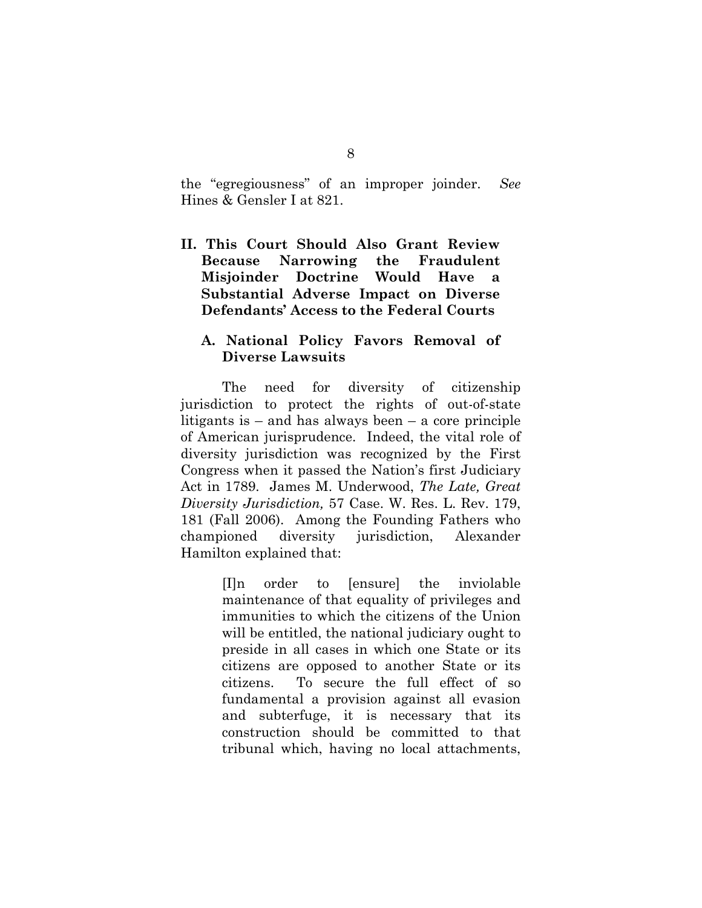the "egregiousness" of an improper joinder. *See* Hines & Gensler I at 821.

**II. This Court Should Also Grant Review Because Narrowing the Fraudulent Misjoinder Doctrine Would Have a Substantial Adverse Impact on Diverse Defendants' Access to the Federal Courts** 

### **A. National Policy Favors Removal of Diverse Lawsuits**

The need for diversity of citizenship jurisdiction to protect the rights of out-of-state litigants is – and has always been – a core principle of American jurisprudence. Indeed, the vital role of diversity jurisdiction was recognized by the First Congress when it passed the Nation's first Judiciary Act in 1789. James M. Underwood, *The Late, Great Diversity Jurisdiction,* 57 Case. W. Res. L. Rev. 179, 181 (Fall 2006). Among the Founding Fathers who championed diversity jurisdiction, Alexander Hamilton explained that:

> [I]n order to [ensure] the inviolable maintenance of that equality of privileges and immunities to which the citizens of the Union will be entitled, the national judiciary ought to preside in all cases in which one State or its citizens are opposed to another State or its citizens. To secure the full effect of so fundamental a provision against all evasion and subterfuge, it is necessary that its construction should be committed to that tribunal which, having no local attachments,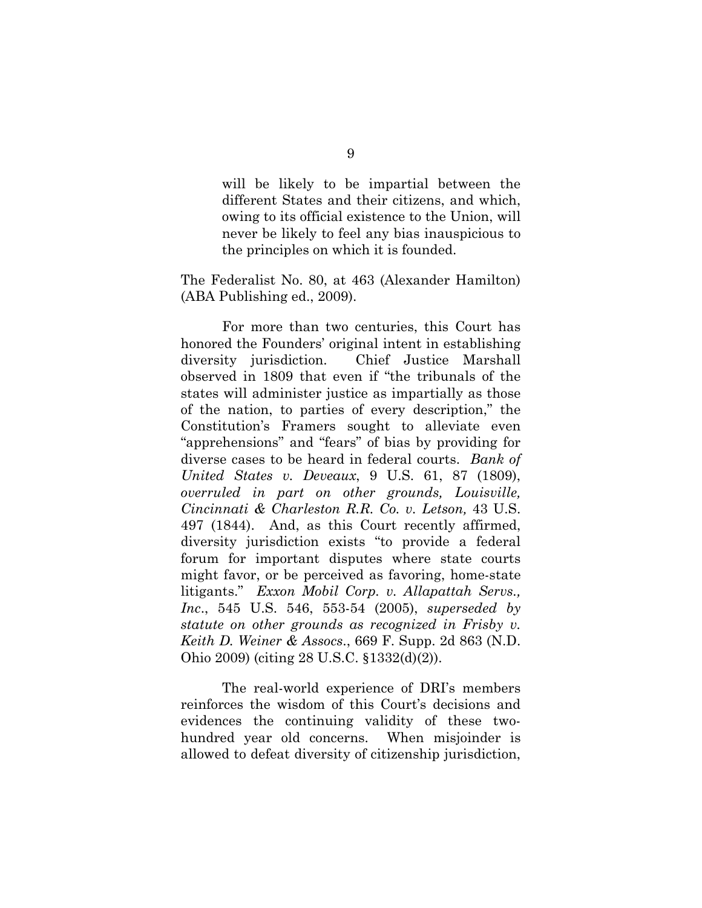will be likely to be impartial between the different States and their citizens, and which, owing to its official existence to the Union, will never be likely to feel any bias inauspicious to the principles on which it is founded.

The Federalist No. 80, at 463 (Alexander Hamilton) (ABA Publishing ed., 2009).

For more than two centuries, this Court has honored the Founders' original intent in establishing diversity jurisdiction. Chief Justice Marshall observed in 1809 that even if "the tribunals of the states will administer justice as impartially as those of the nation, to parties of every description," the Constitution's Framers sought to alleviate even "apprehensions" and "fears" of bias by providing for diverse cases to be heard in federal courts. *Bank of United States v. Deveaux*, 9 U.S. 61, 87 (1809), *overruled in part on other grounds, Louisville, Cincinnati & Charleston R.R. Co. v. Letson,* 43 U.S. 497 (1844). And, as this Court recently affirmed, diversity jurisdiction exists "to provide a federal forum for important disputes where state courts might favor, or be perceived as favoring, home-state litigants." *Exxon Mobil Corp. v. Allapattah Servs., Inc*., 545 U.S. 546, 553-54 (2005), *superseded by statute on other grounds as recognized in Frisby v. Keith D. Weiner & Assocs*., 669 F. Supp. 2d 863 (N.D. Ohio 2009) (citing 28 U.S.C. §1332(d)(2)).

The real-world experience of DRI's members reinforces the wisdom of this Court's decisions and evidences the continuing validity of these twohundred year old concerns. When misjoinder is allowed to defeat diversity of citizenship jurisdiction,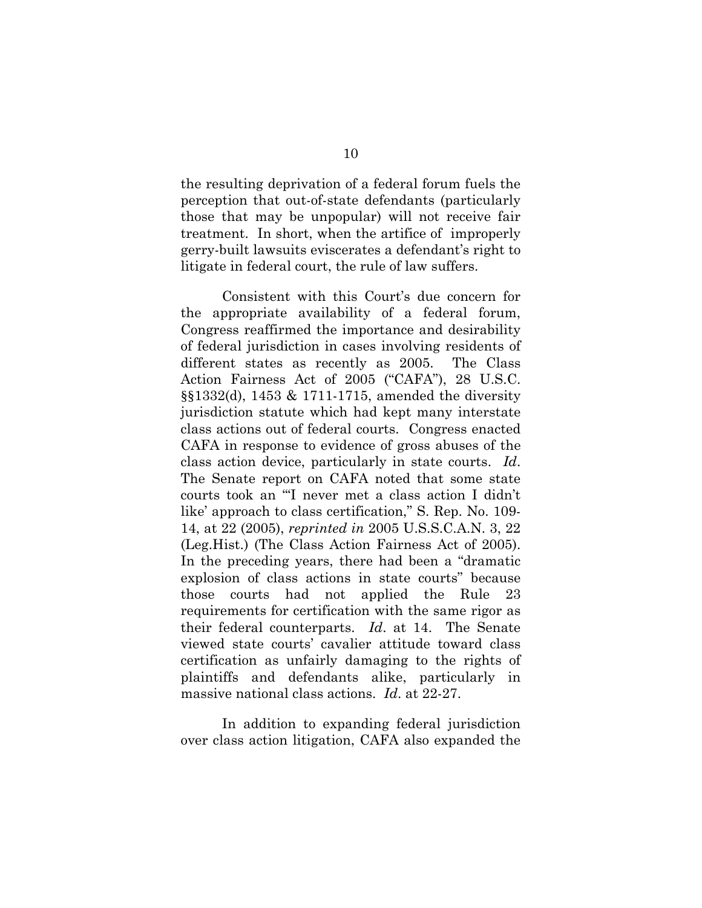the resulting deprivation of a federal forum fuels the perception that out-of-state defendants (particularly those that may be unpopular) will not receive fair treatment. In short, when the artifice of improperly gerry-built lawsuits eviscerates a defendant's right to litigate in federal court, the rule of law suffers.

Consistent with this Court's due concern for the appropriate availability of a federal forum, Congress reaffirmed the importance and desirability of federal jurisdiction in cases involving residents of different states as recently as 2005. The Class Action Fairness Act of 2005 ("CAFA"), 28 U.S.C. §§1332(d), 1453 & 1711-1715, amended the diversity jurisdiction statute which had kept many interstate class actions out of federal courts. Congress enacted CAFA in response to evidence of gross abuses of the class action device, particularly in state courts. *Id*. The Senate report on CAFA noted that some state courts took an "'I never met a class action I didn't like' approach to class certification," S. Rep. No. 109- 14, at 22 (2005), *reprinted in* 2005 U.S.S.C.A.N. 3, 22 (Leg.Hist.) (The Class Action Fairness Act of 2005). In the preceding years, there had been a "dramatic explosion of class actions in state courts" because those courts had not applied the Rule 23 requirements for certification with the same rigor as their federal counterparts. *Id*. at 14. The Senate viewed state courts' cavalier attitude toward class certification as unfairly damaging to the rights of plaintiffs and defendants alike, particularly in massive national class actions. *Id*. at 22-27.

In addition to expanding federal jurisdiction over class action litigation, CAFA also expanded the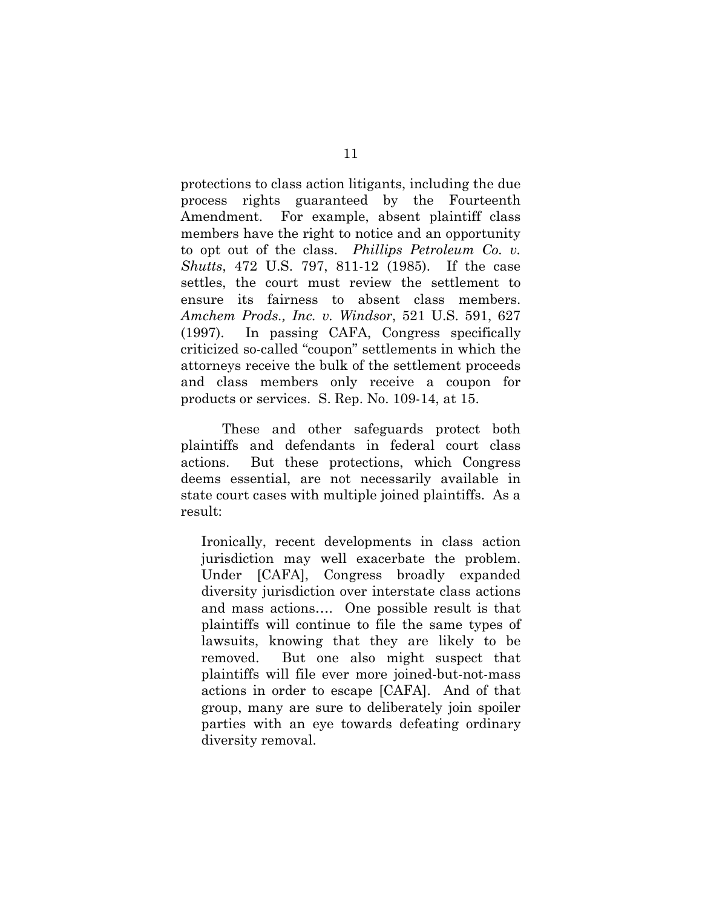protections to class action litigants, including the due process rights guaranteed by the Fourteenth Amendment. For example, absent plaintiff class members have the right to notice and an opportunity to opt out of the class. *Phillips Petroleum Co. v. Shutts*, 472 U.S. 797, 811-12 (1985). If the case settles, the court must review the settlement to ensure its fairness to absent class members. *Amchem Prods., Inc. v. Windsor*, 521 U.S. 591, 627 (1997). In passing CAFA, Congress specifically criticized so-called "coupon" settlements in which the attorneys receive the bulk of the settlement proceeds and class members only receive a coupon for products or services. S. Rep. No. 109-14, at 15.

These and other safeguards protect both plaintiffs and defendants in federal court class actions. But these protections, which Congress deems essential, are not necessarily available in state court cases with multiple joined plaintiffs. As a result:

Ironically, recent developments in class action jurisdiction may well exacerbate the problem. Under [CAFA], Congress broadly expanded diversity jurisdiction over interstate class actions and mass actions…. One possible result is that plaintiffs will continue to file the same types of lawsuits, knowing that they are likely to be removed. But one also might suspect that plaintiffs will file ever more joined-but-not-mass actions in order to escape [CAFA]. And of that group, many are sure to deliberately join spoiler parties with an eye towards defeating ordinary diversity removal.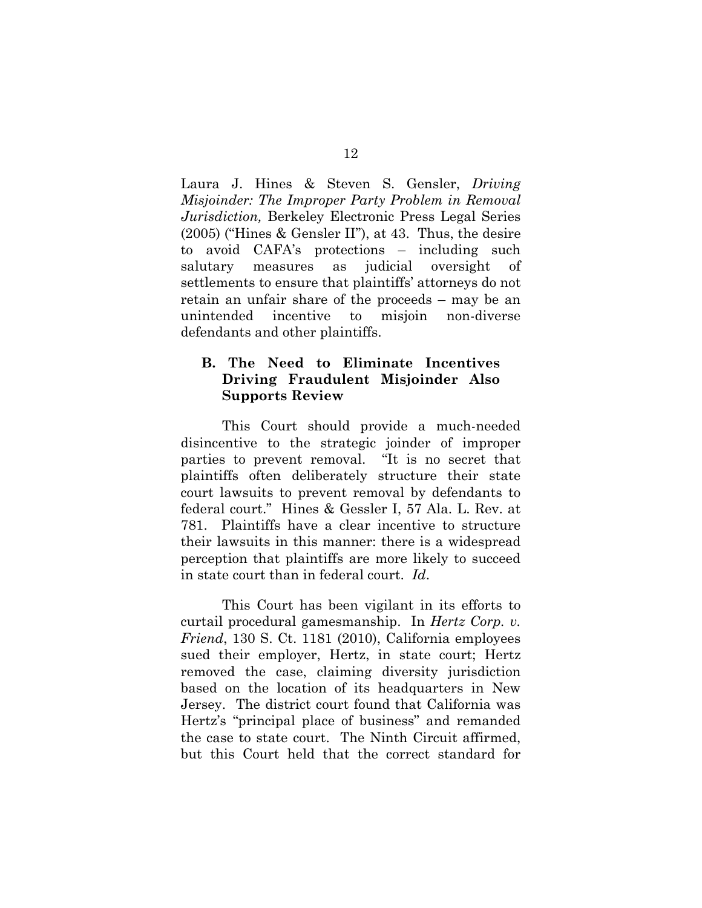Laura J. Hines & Steven S. Gensler, *Driving Misjoinder: The Improper Party Problem in Removal Jurisdiction,* Berkeley Electronic Press Legal Series (2005) ("Hines & Gensler II"), at 43. Thus, the desire to avoid CAFA's protections – including such salutary measures as judicial oversight of settlements to ensure that plaintiffs' attorneys do not retain an unfair share of the proceeds – may be an unintended incentive to misjoin non-diverse defendants and other plaintiffs.

### **B. The Need to Eliminate Incentives Driving Fraudulent Misjoinder Also Supports Review**

This Court should provide a much-needed disincentive to the strategic joinder of improper parties to prevent removal. "It is no secret that plaintiffs often deliberately structure their state court lawsuits to prevent removal by defendants to federal court." Hines & Gessler I, 57 Ala. L. Rev. at 781. Plaintiffs have a clear incentive to structure their lawsuits in this manner: there is a widespread perception that plaintiffs are more likely to succeed in state court than in federal court. *Id*.

This Court has been vigilant in its efforts to curtail procedural gamesmanship. In *Hertz Corp. v. Friend*, 130 S. Ct. 1181 (2010), California employees sued their employer, Hertz, in state court; Hertz removed the case, claiming diversity jurisdiction based on the location of its headquarters in New Jersey. The district court found that California was Hertz's "principal place of business" and remanded the case to state court. The Ninth Circuit affirmed, but this Court held that the correct standard for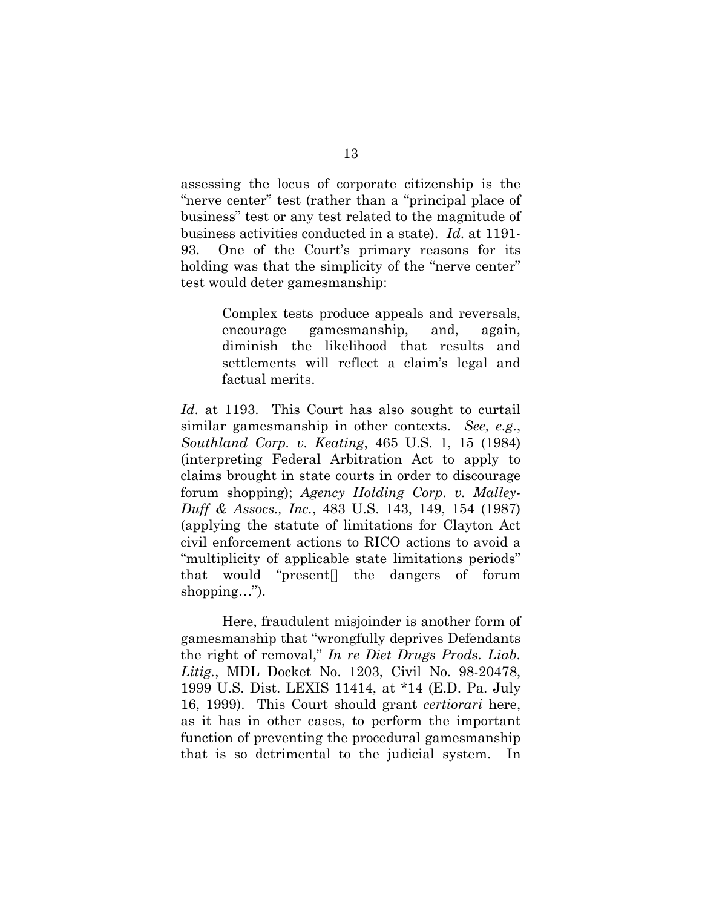assessing the locus of corporate citizenship is the "nerve center" test (rather than a "principal place of business" test or any test related to the magnitude of business activities conducted in a state). *Id*. at 1191- 93. One of the Court's primary reasons for its holding was that the simplicity of the "nerve center" test would deter gamesmanship:

> Complex tests produce appeals and reversals, encourage gamesmanship, and, again, diminish the likelihood that results and settlements will reflect a claim's legal and factual merits.

*Id*. at 1193. This Court has also sought to curtail similar gamesmanship in other contexts. *See, e.g*., *Southland Corp. v. Keating*, 465 U.S. 1, 15 (1984) (interpreting Federal Arbitration Act to apply to claims brought in state courts in order to discourage forum shopping); *Agency Holding Corp. v. Malley-Duff & Assocs., Inc.*, 483 U.S. 143, 149, 154 (1987) (applying the statute of limitations for Clayton Act civil enforcement actions to RICO actions to avoid a "multiplicity of applicable state limitations periods" that would "present[] the dangers of forum shopping...").

Here, fraudulent misjoinder is another form of gamesmanship that "wrongfully deprives Defendants the right of removal," *In re Diet Drugs Prods. Liab. Litig.*, MDL Docket No. 1203, Civil No. 98-20478, 1999 U.S. Dist. LEXIS 11414, at \*14 (E.D. Pa. July 16, 1999). This Court should grant *certiorari* here, as it has in other cases, to perform the important function of preventing the procedural gamesmanship that is so detrimental to the judicial system. In